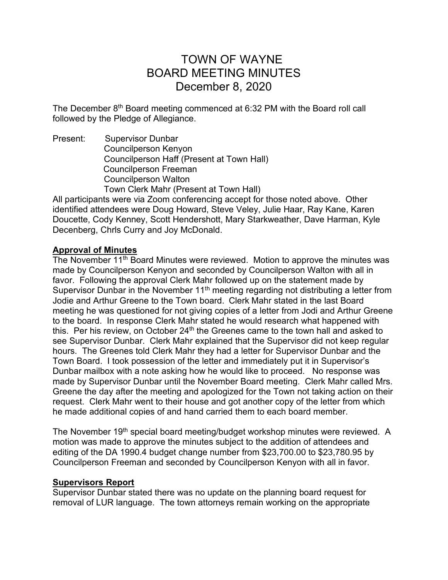# TOWN OF WAYNE BOARD MEETING MINUTES December 8, 2020

The December 8<sup>th</sup> Board meeting commenced at 6:32 PM with the Board roll call followed by the Pledge of Allegiance.

Present: Supervisor Dunbar Councilperson Kenyon Councilperson Haff (Present at Town Hall) Councilperson Freeman Councilperson Walton Town Clerk Mahr (Present at Town Hall)

All participants were via Zoom conferencing accept for those noted above. Other identified attendees were Doug Howard, Steve Veley, Julie Haar, Ray Kane, Karen Doucette, Cody Kenney, Scott Hendershott, Mary Starkweather, Dave Harman, Kyle Decenberg, Chrls Curry and Joy McDonald.

## **Approval of Minutes**

The November 11<sup>th</sup> Board Minutes were reviewed. Motion to approve the minutes was made by Councilperson Kenyon and seconded by Councilperson Walton with all in favor. Following the approval Clerk Mahr followed up on the statement made by Supervisor Dunbar in the November 11<sup>th</sup> meeting regarding not distributing a letter from Jodie and Arthur Greene to the Town board. Clerk Mahr stated in the last Board meeting he was questioned for not giving copies of a letter from Jodi and Arthur Greene to the board. In response Clerk Mahr stated he would research what happened with this. Per his review, on October  $24<sup>th</sup>$  the Greenes came to the town hall and asked to see Supervisor Dunbar. Clerk Mahr explained that the Supervisor did not keep regular hours. The Greenes told Clerk Mahr they had a letter for Supervisor Dunbar and the Town Board. I took possession of the letter and immediately put it in Supervisor's Dunbar mailbox with a note asking how he would like to proceed. No response was made by Supervisor Dunbar until the November Board meeting. Clerk Mahr called Mrs. Greene the day after the meeting and apologized for the Town not taking action on their request. Clerk Mahr went to their house and got another copy of the letter from which he made additional copies of and hand carried them to each board member.

The November 19<sup>th</sup> special board meeting/budget workshop minutes were reviewed. A motion was made to approve the minutes subject to the addition of attendees and editing of the DA 1990.4 budget change number from \$23,700.00 to \$23,780.95 by Councilperson Freeman and seconded by Councilperson Kenyon with all in favor.

## **Supervisors Report**

Supervisor Dunbar stated there was no update on the planning board request for removal of LUR language. The town attorneys remain working on the appropriate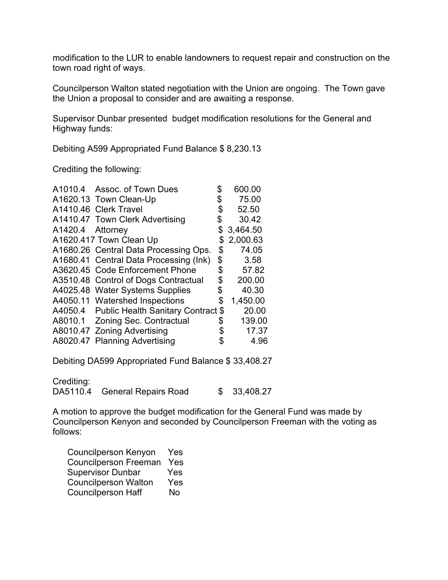modification to the LUR to enable landowners to request repair and construction on the town road right of ways.

Councilperson Walton stated negotiation with the Union are ongoing. The Town gave the Union a proposal to consider and are awaiting a response.

Supervisor Dunbar presented budget modification resolutions for the General and Highway funds:

Debiting A599 Appropriated Fund Balance \$ 8,230.13

Crediting the following:

| A1010.4          | Assoc. of Town Dues                        | 600.00         |
|------------------|--------------------------------------------|----------------|
|                  | A1620.13 Town Clean-Up                     | \$<br>75.00    |
|                  | A1410.46 Clerk Travel                      | \$<br>52.50    |
|                  | A1410.47 Town Clerk Advertising            | \$<br>30.42    |
| A1420.4 Attorney |                                            | \$<br>3,464.50 |
|                  | A1620.417 Town Clean Up                    | \$<br>2,000.63 |
|                  | A1680.26 Central Data Processing Ops.      | \$<br>74.05    |
|                  | A1680.41 Central Data Processing (Ink)     | \$<br>3.58     |
|                  | A3620.45 Code Enforcement Phone            | \$<br>57.82    |
|                  | A3510.48 Control of Dogs Contractual       | \$<br>200.00   |
|                  | A4025.48 Water Systems Supplies            | \$<br>40.30    |
|                  | A4050.11 Watershed Inspections             | \$<br>1,450.00 |
|                  | A4050.4 Public Health Sanitary Contract \$ | 20.00          |
|                  | A8010.1 Zoning Sec. Contractual            | \$<br>139.00   |
|                  | A8010.47 Zoning Advertising                | \$<br>17.37    |
|                  | A8020.47 Planning Advertising              | \$<br>4.96     |
|                  |                                            |                |

Debiting DA599 Appropriated Fund Balance \$ 33,408.27

Crediting:

| DA5110.4 | General Repairs Road |  | \$33,408.27 |
|----------|----------------------|--|-------------|
|----------|----------------------|--|-------------|

A motion to approve the budget modification for the General Fund was made by Councilperson Kenyon and seconded by Councilperson Freeman with the voting as follows:

| <b>Councilperson Kenyon</b>  | Yes       |
|------------------------------|-----------|
| <b>Councilperson Freeman</b> | Yes       |
| <b>Supervisor Dunbar</b>     | Yes       |
| <b>Councilperson Walton</b>  | Yes       |
| <b>Councilperson Haff</b>    | <b>No</b> |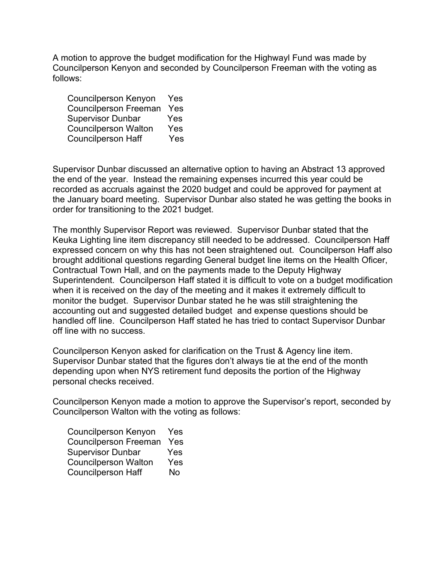A motion to approve the budget modification for the Highwayl Fund was made by Councilperson Kenyon and seconded by Councilperson Freeman with the voting as follows:

| <b>Councilperson Kenyon</b>  | Yes |
|------------------------------|-----|
| <b>Councilperson Freeman</b> | Yes |
| <b>Supervisor Dunbar</b>     | Yes |
| <b>Councilperson Walton</b>  | Yes |
| <b>Councilperson Haff</b>    | Yes |

Supervisor Dunbar discussed an alternative option to having an Abstract 13 approved the end of the year. Instead the remaining expenses incurred this year could be recorded as accruals against the 2020 budget and could be approved for payment at the January board meeting. Supervisor Dunbar also stated he was getting the books in order for transitioning to the 2021 budget.

The monthly Supervisor Report was reviewed. Supervisor Dunbar stated that the Keuka Lighting line item discrepancy still needed to be addressed. Councilperson Haff expressed concern on why this has not been straightened out. Councilperson Haff also brought additional questions regarding General budget line items on the Health Oficer, Contractual Town Hall, and on the payments made to the Deputy Highway Superintendent. Councilperson Haff stated it is difficult to vote on a budget modification when it is received on the day of the meeting and it makes it extremely difficult to monitor the budget. Supervisor Dunbar stated he he was still straightening the accounting out and suggested detailed budget and expense questions should be handled off line. Councilperson Haff stated he has tried to contact Supervisor Dunbar off line with no success.

Councilperson Kenyon asked for clarification on the Trust & Agency line item. Supervisor Dunbar stated that the figures don't always tie at the end of the month depending upon when NYS retirement fund deposits the portion of the Highway personal checks received.

Councilperson Kenyon made a motion to approve the Supervisor's report, seconded by Councilperson Walton with the voting as follows:

| <b>Councilperson Kenyon</b>  | Yes       |
|------------------------------|-----------|
| <b>Councilperson Freeman</b> | Yes       |
| <b>Supervisor Dunbar</b>     | Yes       |
| <b>Councilperson Walton</b>  | Yes       |
| <b>Councilperson Haff</b>    | <b>No</b> |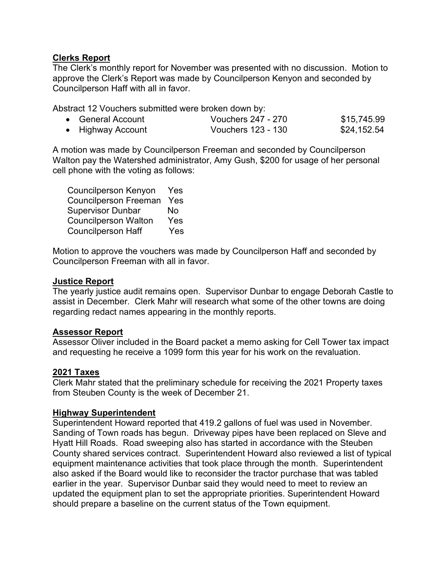## **Clerks Report**

The Clerk's monthly report for November was presented with no discussion. Motion to approve the Clerk's Report was made by Councilperson Kenyon and seconded by Councilperson Haff with all in favor.

Abstract 12 Vouchers submitted were broken down by:

| • General Account | Vouchers 247 - 270 | \$15,745.99 |
|-------------------|--------------------|-------------|
| • Highway Account | Vouchers 123 - 130 | \$24,152.54 |

A motion was made by Councilperson Freeman and seconded by Councilperson Walton pay the Watershed administrator, Amy Gush, \$200 for usage of her personal cell phone with the voting as follows:

| <b>Councilperson Kenyon</b>  | Yes |
|------------------------------|-----|
| <b>Councilperson Freeman</b> | Yes |
| <b>Supervisor Dunbar</b>     | No  |
| <b>Councilperson Walton</b>  | Yes |
| <b>Councilperson Haff</b>    | Yes |

Motion to approve the vouchers was made by Councilperson Haff and seconded by Councilperson Freeman with all in favor.

#### **Justice Report**

The yearly justice audit remains open. Supervisor Dunbar to engage Deborah Castle to assist in December. Clerk Mahr will research what some of the other towns are doing regarding redact names appearing in the monthly reports.

## **Assessor Report**

Assessor Oliver included in the Board packet a memo asking for Cell Tower tax impact and requesting he receive a 1099 form this year for his work on the revaluation.

## **2021 Taxes**

Clerk Mahr stated that the preliminary schedule for receiving the 2021 Property taxes from Steuben County is the week of December 21.

## **Highway Superintendent**

Superintendent Howard reported that 419.2 gallons of fuel was used in November. Sanding of Town roads has begun. Driveway pipes have been replaced on Sleve and Hyatt Hill Roads. Road sweeping also has started in accordance with the Steuben County shared services contract. Superintendent Howard also reviewed a list of typical equipment maintenance activities that took place through the month. Superintendent also asked if the Board would like to reconsider the tractor purchase that was tabled earlier in the year. Supervisor Dunbar said they would need to meet to review an updated the equipment plan to set the appropriate priorities. Superintendent Howard should prepare a baseline on the current status of the Town equipment.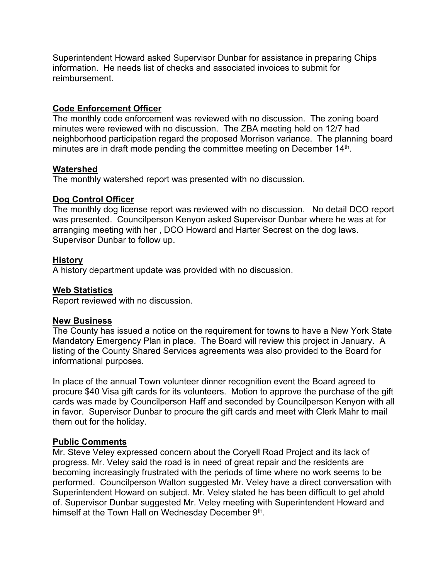Superintendent Howard asked Supervisor Dunbar for assistance in preparing Chips information. He needs list of checks and associated invoices to submit for reimbursement.

## **Code Enforcement Officer**

The monthly code enforcement was reviewed with no discussion. The zoning board minutes were reviewed with no discussion. The ZBA meeting held on 12/7 had neighborhood participation regard the proposed Morrison variance. The planning board minutes are in draft mode pending the committee meeting on December 14<sup>th</sup>.

## **Watershed**

The monthly watershed report was presented with no discussion.

#### **Dog Control Officer**

The monthly dog license report was reviewed with no discussion. No detail DCO report was presented. Councilperson Kenyon asked Supervisor Dunbar where he was at for arranging meeting with her , DCO Howard and Harter Secrest on the dog laws. Supervisor Dunbar to follow up.

#### **History**

A history department update was provided with no discussion.

#### **Web Statistics**

Report reviewed with no discussion.

#### **New Business**

The County has issued a notice on the requirement for towns to have a New York State Mandatory Emergency Plan in place. The Board will review this project in January. A listing of the County Shared Services agreements was also provided to the Board for informational purposes.

In place of the annual Town volunteer dinner recognition event the Board agreed to procure \$40 Visa gift cards for its volunteers. Motion to approve the purchase of the gift cards was made by Councilperson Haff and seconded by Councilperson Kenyon with all in favor. Supervisor Dunbar to procure the gift cards and meet with Clerk Mahr to mail them out for the holiday.

## **Public Comments**

Mr. Steve Veley expressed concern about the Coryell Road Project and its lack of progress. Mr. Veley said the road is in need of great repair and the residents are becoming increasingly frustrated with the periods of time where no work seems to be performed. Councilperson Walton suggested Mr. Veley have a direct conversation with Superintendent Howard on subject. Mr. Veley stated he has been difficult to get ahold of. Supervisor Dunbar suggested Mr. Veley meeting with Superintendent Howard and himself at the Town Hall on Wednesday December 9<sup>th</sup>.